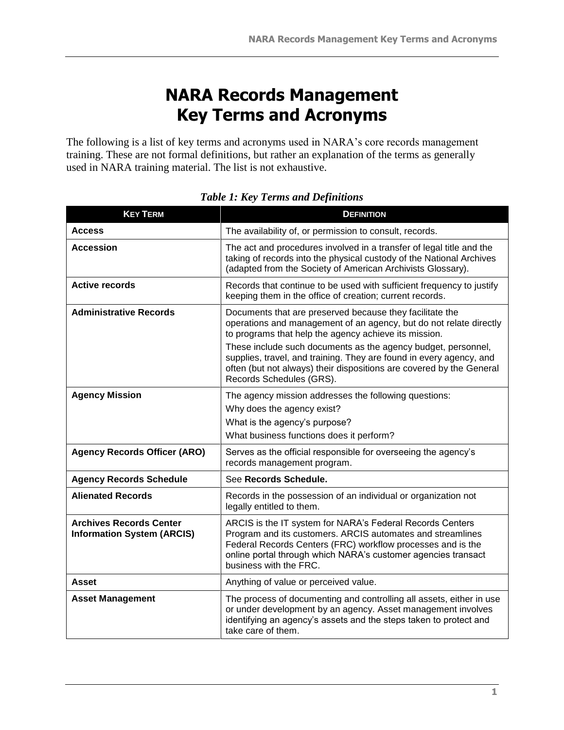## **NARA Records Management Key Terms and Acronyms**

The following is a list of key terms and acronyms used in NARA's core records management training. These are not formal definitions, but rather an explanation of the terms as generally used in NARA training material. The list is not exhaustive.

| <b>KEY TERM</b>                                                     | <b>DEFINITION</b>                                                                                                                                                                                                                                                                                                                                                                                                                   |
|---------------------------------------------------------------------|-------------------------------------------------------------------------------------------------------------------------------------------------------------------------------------------------------------------------------------------------------------------------------------------------------------------------------------------------------------------------------------------------------------------------------------|
| <b>Access</b>                                                       | The availability of, or permission to consult, records.                                                                                                                                                                                                                                                                                                                                                                             |
| <b>Accession</b>                                                    | The act and procedures involved in a transfer of legal title and the<br>taking of records into the physical custody of the National Archives<br>(adapted from the Society of American Archivists Glossary).                                                                                                                                                                                                                         |
| <b>Active records</b>                                               | Records that continue to be used with sufficient frequency to justify<br>keeping them in the office of creation; current records.                                                                                                                                                                                                                                                                                                   |
| <b>Administrative Records</b>                                       | Documents that are preserved because they facilitate the<br>operations and management of an agency, but do not relate directly<br>to programs that help the agency achieve its mission.<br>These include such documents as the agency budget, personnel,<br>supplies, travel, and training. They are found in every agency, and<br>often (but not always) their dispositions are covered by the General<br>Records Schedules (GRS). |
| <b>Agency Mission</b>                                               | The agency mission addresses the following questions:<br>Why does the agency exist?<br>What is the agency's purpose?<br>What business functions does it perform?                                                                                                                                                                                                                                                                    |
| <b>Agency Records Officer (ARO)</b>                                 | Serves as the official responsible for overseeing the agency's<br>records management program.                                                                                                                                                                                                                                                                                                                                       |
| <b>Agency Records Schedule</b>                                      | See Records Schedule.                                                                                                                                                                                                                                                                                                                                                                                                               |
| <b>Alienated Records</b>                                            | Records in the possession of an individual or organization not<br>legally entitled to them.                                                                                                                                                                                                                                                                                                                                         |
| <b>Archives Records Center</b><br><b>Information System (ARCIS)</b> | ARCIS is the IT system for NARA's Federal Records Centers<br>Program and its customers. ARCIS automates and streamlines<br>Federal Records Centers (FRC) workflow processes and is the<br>online portal through which NARA's customer agencies transact<br>business with the FRC.                                                                                                                                                   |
| Asset                                                               | Anything of value or perceived value.                                                                                                                                                                                                                                                                                                                                                                                               |
| <b>Asset Management</b>                                             | The process of documenting and controlling all assets, either in use<br>or under development by an agency. Asset management involves<br>identifying an agency's assets and the steps taken to protect and<br>take care of them.                                                                                                                                                                                                     |

## *Table 1: Key Terms and Definitions*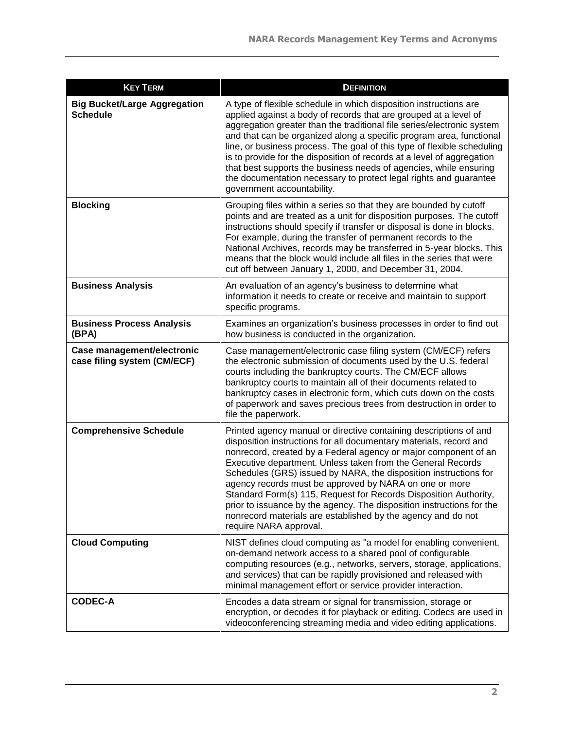| <b>KEY TERM</b>                                           | <b>DEFINITION</b>                                                                                                                                                                                                                                                                                                                                                                                                                                                                                                                                                                                                                              |
|-----------------------------------------------------------|------------------------------------------------------------------------------------------------------------------------------------------------------------------------------------------------------------------------------------------------------------------------------------------------------------------------------------------------------------------------------------------------------------------------------------------------------------------------------------------------------------------------------------------------------------------------------------------------------------------------------------------------|
| <b>Big Bucket/Large Aggregation</b><br><b>Schedule</b>    | A type of flexible schedule in which disposition instructions are<br>applied against a body of records that are grouped at a level of<br>aggregation greater than the traditional file series/electronic system<br>and that can be organized along a specific program area, functional<br>line, or business process. The goal of this type of flexible scheduling<br>is to provide for the disposition of records at a level of aggregation<br>that best supports the business needs of agencies, while ensuring<br>the documentation necessary to protect legal rights and guarantee<br>government accountability.                            |
| <b>Blocking</b>                                           | Grouping files within a series so that they are bounded by cutoff<br>points and are treated as a unit for disposition purposes. The cutoff<br>instructions should specify if transfer or disposal is done in blocks.<br>For example, during the transfer of permanent records to the<br>National Archives, records may be transferred in 5-year blocks. This<br>means that the block would include all files in the series that were<br>cut off between January 1, 2000, and December 31, 2004.                                                                                                                                                |
| <b>Business Analysis</b>                                  | An evaluation of an agency's business to determine what<br>information it needs to create or receive and maintain to support<br>specific programs.                                                                                                                                                                                                                                                                                                                                                                                                                                                                                             |
| <b>Business Process Analysis</b><br>(BPA)                 | Examines an organization's business processes in order to find out<br>how business is conducted in the organization.                                                                                                                                                                                                                                                                                                                                                                                                                                                                                                                           |
| Case management/electronic<br>case filing system (CM/ECF) | Case management/electronic case filing system (CM/ECF) refers<br>the electronic submission of documents used by the U.S. federal<br>courts including the bankruptcy courts. The CM/ECF allows<br>bankruptcy courts to maintain all of their documents related to<br>bankruptcy cases in electronic form, which cuts down on the costs<br>of paperwork and saves precious trees from destruction in order to<br>file the paperwork.                                                                                                                                                                                                             |
| <b>Comprehensive Schedule</b>                             | Printed agency manual or directive containing descriptions of and<br>disposition instructions for all documentary materials, record and<br>nonrecord, created by a Federal agency or major component of an<br>Executive department. Unless taken from the General Records<br>Schedules (GRS) issued by NARA, the disposition instructions for<br>agency records must be approved by NARA on one or more<br>Standard Form(s) 115, Request for Records Disposition Authority,<br>prior to issuance by the agency. The disposition instructions for the<br>nonrecord materials are established by the agency and do not<br>require NARA approval. |
| <b>Cloud Computing</b>                                    | NIST defines cloud computing as "a model for enabling convenient,<br>on-demand network access to a shared pool of configurable<br>computing resources (e.g., networks, servers, storage, applications,<br>and services) that can be rapidly provisioned and released with<br>minimal management effort or service provider interaction.                                                                                                                                                                                                                                                                                                        |
| <b>CODEC-A</b>                                            | Encodes a data stream or signal for transmission, storage or<br>encryption, or decodes it for playback or editing. Codecs are used in<br>videoconferencing streaming media and video editing applications.                                                                                                                                                                                                                                                                                                                                                                                                                                     |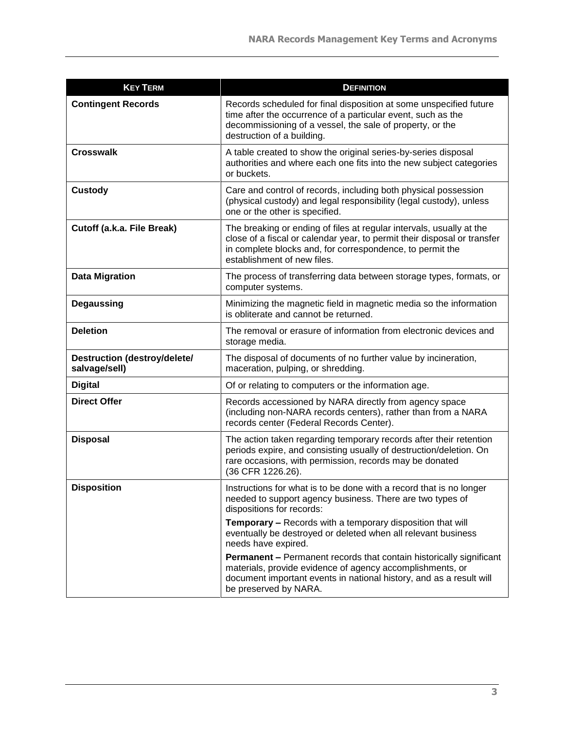| <b>KEY TERM</b>                                      | <b>DEFINITION</b>                                                                                                                                                                                                                            |
|------------------------------------------------------|----------------------------------------------------------------------------------------------------------------------------------------------------------------------------------------------------------------------------------------------|
| <b>Contingent Records</b>                            | Records scheduled for final disposition at some unspecified future<br>time after the occurrence of a particular event, such as the<br>decommissioning of a vessel, the sale of property, or the<br>destruction of a building.                |
| <b>Crosswalk</b>                                     | A table created to show the original series-by-series disposal<br>authorities and where each one fits into the new subject categories<br>or buckets.                                                                                         |
| <b>Custody</b>                                       | Care and control of records, including both physical possession<br>(physical custody) and legal responsibility (legal custody), unless<br>one or the other is specified.                                                                     |
| Cutoff (a.k.a. File Break)                           | The breaking or ending of files at regular intervals, usually at the<br>close of a fiscal or calendar year, to permit their disposal or transfer<br>in complete blocks and, for correspondence, to permit the<br>establishment of new files. |
| <b>Data Migration</b>                                | The process of transferring data between storage types, formats, or<br>computer systems.                                                                                                                                                     |
| <b>Degaussing</b>                                    | Minimizing the magnetic field in magnetic media so the information<br>is obliterate and cannot be returned.                                                                                                                                  |
| <b>Deletion</b>                                      | The removal or erasure of information from electronic devices and<br>storage media.                                                                                                                                                          |
| <b>Destruction (destroy/delete/</b><br>salvage/sell) | The disposal of documents of no further value by incineration,<br>maceration, pulping, or shredding.                                                                                                                                         |
| <b>Digital</b>                                       | Of or relating to computers or the information age.                                                                                                                                                                                          |
| <b>Direct Offer</b>                                  | Records accessioned by NARA directly from agency space<br>(including non-NARA records centers), rather than from a NARA<br>records center (Federal Records Center).                                                                          |
| <b>Disposal</b>                                      | The action taken regarding temporary records after their retention<br>periods expire, and consisting usually of destruction/deletion. On<br>rare occasions, with permission, records may be donated<br>(36 CFR 1226.26).                     |
| <b>Disposition</b>                                   | Instructions for what is to be done with a record that is no longer<br>needed to support agency business. There are two types of<br>dispositions for records:                                                                                |
|                                                      | <b>Temporary - Records with a temporary disposition that will</b><br>eventually be destroyed or deleted when all relevant business<br>needs have expired.                                                                                    |
|                                                      | <b>Permanent - Permanent records that contain historically significant</b><br>materials, provide evidence of agency accomplishments, or<br>document important events in national history, and as a result will<br>be preserved by NARA.      |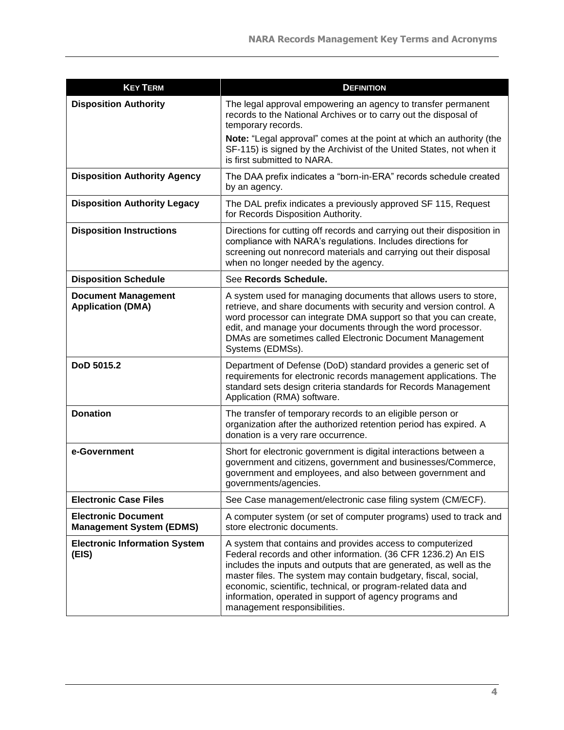| <b>KEY TERM</b>                                               | <b>DEFINITION</b>                                                                                                                                                                                                                                                                                                                                                                                                               |
|---------------------------------------------------------------|---------------------------------------------------------------------------------------------------------------------------------------------------------------------------------------------------------------------------------------------------------------------------------------------------------------------------------------------------------------------------------------------------------------------------------|
| <b>Disposition Authority</b>                                  | The legal approval empowering an agency to transfer permanent<br>records to the National Archives or to carry out the disposal of<br>temporary records.                                                                                                                                                                                                                                                                         |
|                                                               | Note: "Legal approval" comes at the point at which an authority (the<br>SF-115) is signed by the Archivist of the United States, not when it<br>is first submitted to NARA.                                                                                                                                                                                                                                                     |
| <b>Disposition Authority Agency</b>                           | The DAA prefix indicates a "born-in-ERA" records schedule created<br>by an agency.                                                                                                                                                                                                                                                                                                                                              |
| <b>Disposition Authority Legacy</b>                           | The DAL prefix indicates a previously approved SF 115, Request<br>for Records Disposition Authority.                                                                                                                                                                                                                                                                                                                            |
| <b>Disposition Instructions</b>                               | Directions for cutting off records and carrying out their disposition in<br>compliance with NARA's regulations. Includes directions for<br>screening out nonrecord materials and carrying out their disposal<br>when no longer needed by the agency.                                                                                                                                                                            |
| <b>Disposition Schedule</b>                                   | See Records Schedule.                                                                                                                                                                                                                                                                                                                                                                                                           |
| <b>Document Management</b><br><b>Application (DMA)</b>        | A system used for managing documents that allows users to store,<br>retrieve, and share documents with security and version control. A<br>word processor can integrate DMA support so that you can create,<br>edit, and manage your documents through the word processor.<br>DMAs are sometimes called Electronic Document Management<br>Systems (EDMSs).                                                                       |
| DoD 5015.2                                                    | Department of Defense (DoD) standard provides a generic set of<br>requirements for electronic records management applications. The<br>standard sets design criteria standards for Records Management<br>Application (RMA) software.                                                                                                                                                                                             |
| <b>Donation</b>                                               | The transfer of temporary records to an eligible person or<br>organization after the authorized retention period has expired. A<br>donation is a very rare occurrence.                                                                                                                                                                                                                                                          |
| e-Government                                                  | Short for electronic government is digital interactions between a<br>government and citizens, government and businesses/Commerce,<br>government and employees, and also between government and<br>governments/agencies.                                                                                                                                                                                                         |
| <b>Electronic Case Files</b>                                  | See Case management/electronic case filing system (CM/ECF).                                                                                                                                                                                                                                                                                                                                                                     |
| <b>Electronic Document</b><br><b>Management System (EDMS)</b> | A computer system (or set of computer programs) used to track and<br>store electronic documents.                                                                                                                                                                                                                                                                                                                                |
| <b>Electronic Information System</b><br>(EIS)                 | A system that contains and provides access to computerized<br>Federal records and other information. (36 CFR 1236.2) An EIS<br>includes the inputs and outputs that are generated, as well as the<br>master files. The system may contain budgetary, fiscal, social,<br>economic, scientific, technical, or program-related data and<br>information, operated in support of agency programs and<br>management responsibilities. |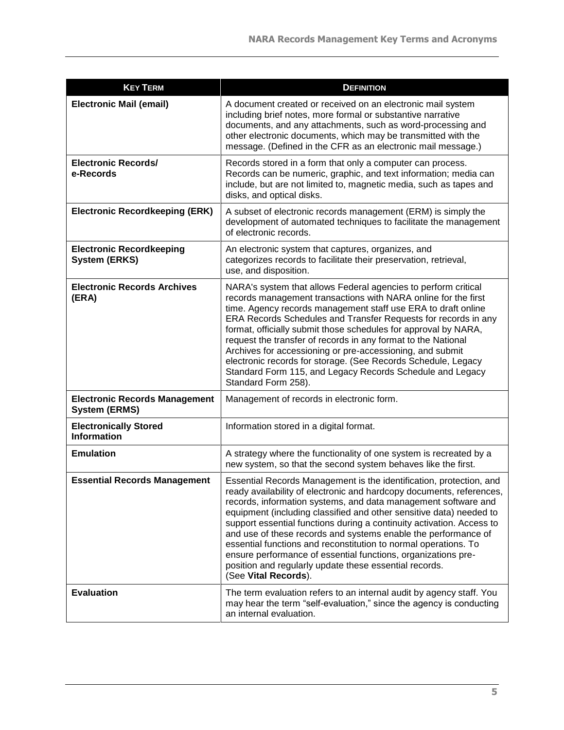| <b>KEY TERM</b>                                              | <b>DEFINITION</b>                                                                                                                                                                                                                                                                                                                                                                                                                                                                                                                                                                                                                                     |
|--------------------------------------------------------------|-------------------------------------------------------------------------------------------------------------------------------------------------------------------------------------------------------------------------------------------------------------------------------------------------------------------------------------------------------------------------------------------------------------------------------------------------------------------------------------------------------------------------------------------------------------------------------------------------------------------------------------------------------|
| <b>Electronic Mail (email)</b>                               | A document created or received on an electronic mail system<br>including brief notes, more formal or substantive narrative<br>documents, and any attachments, such as word-processing and<br>other electronic documents, which may be transmitted with the<br>message. (Defined in the CFR as an electronic mail message.)                                                                                                                                                                                                                                                                                                                            |
| <b>Electronic Records/</b><br>e-Records                      | Records stored in a form that only a computer can process.<br>Records can be numeric, graphic, and text information; media can<br>include, but are not limited to, magnetic media, such as tapes and<br>disks, and optical disks.                                                                                                                                                                                                                                                                                                                                                                                                                     |
| <b>Electronic Recordkeeping (ERK)</b>                        | A subset of electronic records management (ERM) is simply the<br>development of automated techniques to facilitate the management<br>of electronic records.                                                                                                                                                                                                                                                                                                                                                                                                                                                                                           |
| <b>Electronic Recordkeeping</b><br><b>System (ERKS)</b>      | An electronic system that captures, organizes, and<br>categorizes records to facilitate their preservation, retrieval,<br>use, and disposition.                                                                                                                                                                                                                                                                                                                                                                                                                                                                                                       |
| <b>Electronic Records Archives</b><br>(ERA)                  | NARA's system that allows Federal agencies to perform critical<br>records management transactions with NARA online for the first<br>time. Agency records management staff use ERA to draft online<br>ERA Records Schedules and Transfer Requests for records in any<br>format, officially submit those schedules for approval by NARA,<br>request the transfer of records in any format to the National<br>Archives for accessioning or pre-accessioning, and submit<br>electronic records for storage. (See Records Schedule, Legacy<br>Standard Form 115, and Legacy Records Schedule and Legacy<br>Standard Form 258).                             |
| <b>Electronic Records Management</b><br><b>System (ERMS)</b> | Management of records in electronic form.                                                                                                                                                                                                                                                                                                                                                                                                                                                                                                                                                                                                             |
| <b>Electronically Stored</b><br><b>Information</b>           | Information stored in a digital format.                                                                                                                                                                                                                                                                                                                                                                                                                                                                                                                                                                                                               |
| <b>Emulation</b>                                             | A strategy where the functionality of one system is recreated by a<br>new system, so that the second system behaves like the first.                                                                                                                                                                                                                                                                                                                                                                                                                                                                                                                   |
| <b>Essential Records Management</b>                          | Essential Records Management is the identification, protection, and<br>ready availability of electronic and hardcopy documents, references,<br>records, information systems, and data management software and<br>equipment (including classified and other sensitive data) needed to<br>support essential functions during a continuity activation. Access to<br>and use of these records and systems enable the performance of<br>essential functions and reconstitution to normal operations. To<br>ensure performance of essential functions, organizations pre-<br>position and regularly update these essential records.<br>(See Vital Records). |
| <b>Evaluation</b>                                            | The term evaluation refers to an internal audit by agency staff. You<br>may hear the term "self-evaluation," since the agency is conducting<br>an internal evaluation.                                                                                                                                                                                                                                                                                                                                                                                                                                                                                |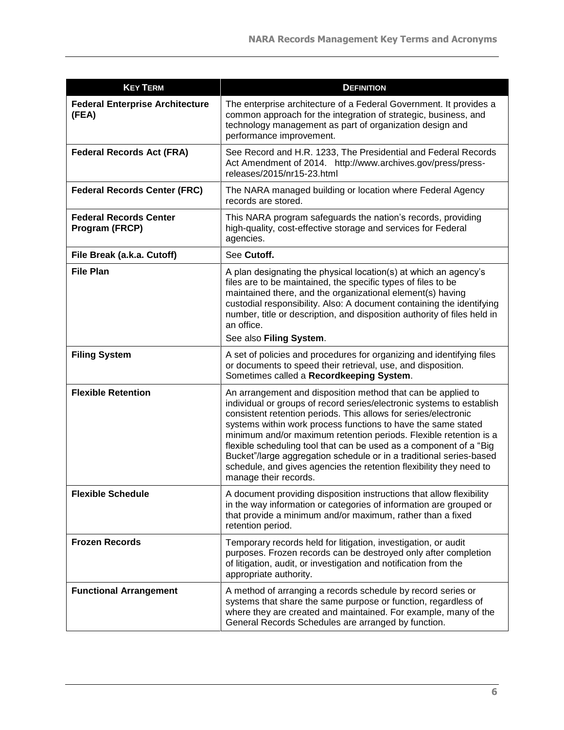| <b>KEY TERM</b>                                 | <b>DEFINITION</b>                                                                                                                                                                                                                                                                                                                                                                                                                                                                                                                                                                           |
|-------------------------------------------------|---------------------------------------------------------------------------------------------------------------------------------------------------------------------------------------------------------------------------------------------------------------------------------------------------------------------------------------------------------------------------------------------------------------------------------------------------------------------------------------------------------------------------------------------------------------------------------------------|
| <b>Federal Enterprise Architecture</b><br>(FEA) | The enterprise architecture of a Federal Government. It provides a<br>common approach for the integration of strategic, business, and<br>technology management as part of organization design and<br>performance improvement.                                                                                                                                                                                                                                                                                                                                                               |
| <b>Federal Records Act (FRA)</b>                | See Record and H.R. 1233, The Presidential and Federal Records<br>Act Amendment of 2014. http://www.archives.gov/press/press-<br>releases/2015/nr15-23.html                                                                                                                                                                                                                                                                                                                                                                                                                                 |
| <b>Federal Records Center (FRC)</b>             | The NARA managed building or location where Federal Agency<br>records are stored.                                                                                                                                                                                                                                                                                                                                                                                                                                                                                                           |
| <b>Federal Records Center</b><br>Program (FRCP) | This NARA program safeguards the nation's records, providing<br>high-quality, cost-effective storage and services for Federal<br>agencies.                                                                                                                                                                                                                                                                                                                                                                                                                                                  |
| File Break (a.k.a. Cutoff)                      | See Cutoff.                                                                                                                                                                                                                                                                                                                                                                                                                                                                                                                                                                                 |
| <b>File Plan</b>                                | A plan designating the physical location(s) at which an agency's<br>files are to be maintained, the specific types of files to be<br>maintained there, and the organizational element(s) having<br>custodial responsibility. Also: A document containing the identifying<br>number, title or description, and disposition authority of files held in<br>an office.<br>See also Filing System.                                                                                                                                                                                               |
| <b>Filing System</b>                            | A set of policies and procedures for organizing and identifying files<br>or documents to speed their retrieval, use, and disposition.<br>Sometimes called a Recordkeeping System.                                                                                                                                                                                                                                                                                                                                                                                                           |
| <b>Flexible Retention</b>                       | An arrangement and disposition method that can be applied to<br>individual or groups of record series/electronic systems to establish<br>consistent retention periods. This allows for series/electronic<br>systems within work process functions to have the same stated<br>minimum and/or maximum retention periods. Flexible retention is a<br>flexible scheduling tool that can be used as a component of a "Big<br>Bucket"/large aggregation schedule or in a traditional series-based<br>schedule, and gives agencies the retention flexibility they need to<br>manage their records. |
| <b>Flexible Schedule</b>                        | A document providing disposition instructions that allow flexibility<br>in the way information or categories of information are grouped or<br>that provide a minimum and/or maximum, rather than a fixed<br>retention period.                                                                                                                                                                                                                                                                                                                                                               |
| <b>Frozen Records</b>                           | Temporary records held for litigation, investigation, or audit<br>purposes. Frozen records can be destroyed only after completion<br>of litigation, audit, or investigation and notification from the<br>appropriate authority.                                                                                                                                                                                                                                                                                                                                                             |
| <b>Functional Arrangement</b>                   | A method of arranging a records schedule by record series or<br>systems that share the same purpose or function, regardless of<br>where they are created and maintained. For example, many of the<br>General Records Schedules are arranged by function.                                                                                                                                                                                                                                                                                                                                    |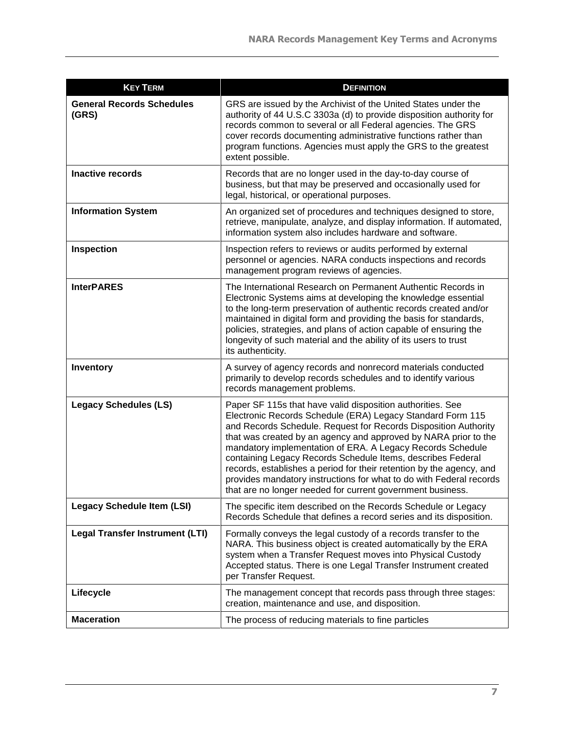| <b>KEY TERM</b>                           | <b>DEFINITION</b>                                                                                                                                                                                                                                                                                                                                                                                                                                                                                                                                                                                       |
|-------------------------------------------|---------------------------------------------------------------------------------------------------------------------------------------------------------------------------------------------------------------------------------------------------------------------------------------------------------------------------------------------------------------------------------------------------------------------------------------------------------------------------------------------------------------------------------------------------------------------------------------------------------|
| <b>General Records Schedules</b><br>(GRS) | GRS are issued by the Archivist of the United States under the<br>authority of 44 U.S.C 3303a (d) to provide disposition authority for<br>records common to several or all Federal agencies. The GRS<br>cover records documenting administrative functions rather than<br>program functions. Agencies must apply the GRS to the greatest<br>extent possible.                                                                                                                                                                                                                                            |
| <b>Inactive records</b>                   | Records that are no longer used in the day-to-day course of<br>business, but that may be preserved and occasionally used for<br>legal, historical, or operational purposes.                                                                                                                                                                                                                                                                                                                                                                                                                             |
| <b>Information System</b>                 | An organized set of procedures and techniques designed to store,<br>retrieve, manipulate, analyze, and display information. If automated,<br>information system also includes hardware and software.                                                                                                                                                                                                                                                                                                                                                                                                    |
| Inspection                                | Inspection refers to reviews or audits performed by external<br>personnel or agencies. NARA conducts inspections and records<br>management program reviews of agencies.                                                                                                                                                                                                                                                                                                                                                                                                                                 |
| <b>InterPARES</b>                         | The International Research on Permanent Authentic Records in<br>Electronic Systems aims at developing the knowledge essential<br>to the long-term preservation of authentic records created and/or<br>maintained in digital form and providing the basis for standards,<br>policies, strategies, and plans of action capable of ensuring the<br>longevity of such material and the ability of its users to trust<br>its authenticity.                                                                                                                                                                   |
| Inventory                                 | A survey of agency records and nonrecord materials conducted<br>primarily to develop records schedules and to identify various<br>records management problems.                                                                                                                                                                                                                                                                                                                                                                                                                                          |
| <b>Legacy Schedules (LS)</b>              | Paper SF 115s that have valid disposition authorities. See<br>Electronic Records Schedule (ERA) Legacy Standard Form 115<br>and Records Schedule. Request for Records Disposition Authority<br>that was created by an agency and approved by NARA prior to the<br>mandatory implementation of ERA. A Legacy Records Schedule<br>containing Legacy Records Schedule Items, describes Federal<br>records, establishes a period for their retention by the agency, and<br>provides mandatory instructions for what to do with Federal records<br>that are no longer needed for current government business |
| <b>Legacy Schedule Item (LSI)</b>         | The specific item described on the Records Schedule or Legacy<br>Records Schedule that defines a record series and its disposition.                                                                                                                                                                                                                                                                                                                                                                                                                                                                     |
| <b>Legal Transfer Instrument (LTI)</b>    | Formally conveys the legal custody of a records transfer to the<br>NARA. This business object is created automatically by the ERA<br>system when a Transfer Request moves into Physical Custody<br>Accepted status. There is one Legal Transfer Instrument created<br>per Transfer Request.                                                                                                                                                                                                                                                                                                             |
| Lifecycle                                 | The management concept that records pass through three stages:<br>creation, maintenance and use, and disposition.                                                                                                                                                                                                                                                                                                                                                                                                                                                                                       |
| <b>Maceration</b>                         | The process of reducing materials to fine particles                                                                                                                                                                                                                                                                                                                                                                                                                                                                                                                                                     |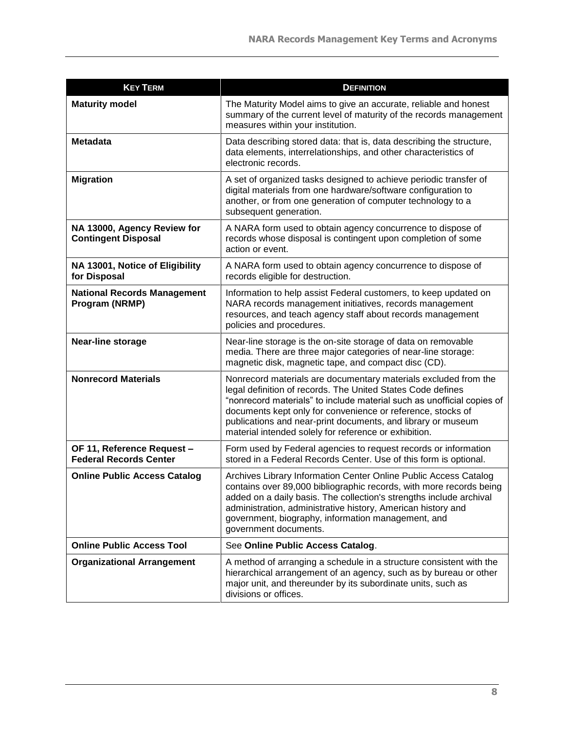| <b>KEY TERM</b>                                             | <b>DEFINITION</b>                                                                                                                                                                                                                                                                                                                                                                                |
|-------------------------------------------------------------|--------------------------------------------------------------------------------------------------------------------------------------------------------------------------------------------------------------------------------------------------------------------------------------------------------------------------------------------------------------------------------------------------|
| <b>Maturity model</b>                                       | The Maturity Model aims to give an accurate, reliable and honest<br>summary of the current level of maturity of the records management<br>measures within your institution.                                                                                                                                                                                                                      |
| <b>Metadata</b>                                             | Data describing stored data: that is, data describing the structure,<br>data elements, interrelationships, and other characteristics of<br>electronic records.                                                                                                                                                                                                                                   |
| <b>Migration</b>                                            | A set of organized tasks designed to achieve periodic transfer of<br>digital materials from one hardware/software configuration to<br>another, or from one generation of computer technology to a<br>subsequent generation.                                                                                                                                                                      |
| NA 13000, Agency Review for<br><b>Contingent Disposal</b>   | A NARA form used to obtain agency concurrence to dispose of<br>records whose disposal is contingent upon completion of some<br>action or event.                                                                                                                                                                                                                                                  |
| NA 13001, Notice of Eligibility<br>for Disposal             | A NARA form used to obtain agency concurrence to dispose of<br>records eligible for destruction.                                                                                                                                                                                                                                                                                                 |
| <b>National Records Management</b><br>Program (NRMP)        | Information to help assist Federal customers, to keep updated on<br>NARA records management initiatives, records management<br>resources, and teach agency staff about records management<br>policies and procedures.                                                                                                                                                                            |
| Near-line storage                                           | Near-line storage is the on-site storage of data on removable<br>media. There are three major categories of near-line storage:<br>magnetic disk, magnetic tape, and compact disc (CD).                                                                                                                                                                                                           |
| <b>Nonrecord Materials</b>                                  | Nonrecord materials are documentary materials excluded from the<br>legal definition of records. The United States Code defines<br>"nonrecord materials" to include material such as unofficial copies of<br>documents kept only for convenience or reference, stocks of<br>publications and near-print documents, and library or museum<br>material intended solely for reference or exhibition. |
| OF 11, Reference Request -<br><b>Federal Records Center</b> | Form used by Federal agencies to request records or information<br>stored in a Federal Records Center. Use of this form is optional.                                                                                                                                                                                                                                                             |
| <b>Online Public Access Catalog</b>                         | Archives Library Information Center Online Public Access Catalog<br>contains over 89,000 bibliographic records, with more records being<br>added on a daily basis. The collection's strengths include archival<br>administration, administrative history, American history and<br>government, biography, information management, and<br>government documents.                                    |
| <b>Online Public Access Tool</b>                            | See Online Public Access Catalog.                                                                                                                                                                                                                                                                                                                                                                |
| <b>Organizational Arrangement</b>                           | A method of arranging a schedule in a structure consistent with the<br>hierarchical arrangement of an agency, such as by bureau or other<br>major unit, and thereunder by its subordinate units, such as<br>divisions or offices.                                                                                                                                                                |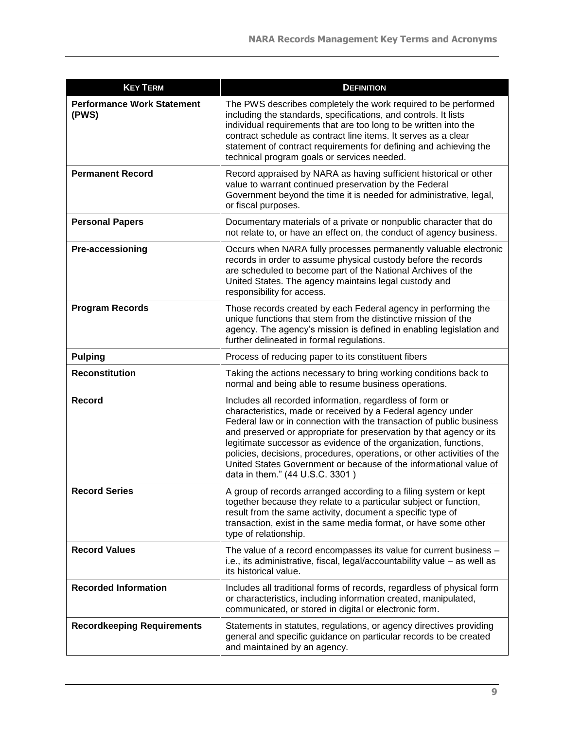| <b>KEY TERM</b>                            | <b>DEFINITION</b>                                                                                                                                                                                                                                                                                                                                                                                                                                                                                                             |
|--------------------------------------------|-------------------------------------------------------------------------------------------------------------------------------------------------------------------------------------------------------------------------------------------------------------------------------------------------------------------------------------------------------------------------------------------------------------------------------------------------------------------------------------------------------------------------------|
| <b>Performance Work Statement</b><br>(PWS) | The PWS describes completely the work required to be performed<br>including the standards, specifications, and controls. It lists<br>individual requirements that are too long to be written into the<br>contract schedule as contract line items. It serves as a clear<br>statement of contract requirements for defining and achieving the<br>technical program goals or services needed.                                                                                                                                   |
| <b>Permanent Record</b>                    | Record appraised by NARA as having sufficient historical or other<br>value to warrant continued preservation by the Federal<br>Government beyond the time it is needed for administrative, legal,<br>or fiscal purposes.                                                                                                                                                                                                                                                                                                      |
| <b>Personal Papers</b>                     | Documentary materials of a private or nonpublic character that do<br>not relate to, or have an effect on, the conduct of agency business.                                                                                                                                                                                                                                                                                                                                                                                     |
| Pre-accessioning                           | Occurs when NARA fully processes permanently valuable electronic<br>records in order to assume physical custody before the records<br>are scheduled to become part of the National Archives of the<br>United States. The agency maintains legal custody and<br>responsibility for access.                                                                                                                                                                                                                                     |
| <b>Program Records</b>                     | Those records created by each Federal agency in performing the<br>unique functions that stem from the distinctive mission of the<br>agency. The agency's mission is defined in enabling legislation and<br>further delineated in formal regulations.                                                                                                                                                                                                                                                                          |
| <b>Pulping</b>                             | Process of reducing paper to its constituent fibers                                                                                                                                                                                                                                                                                                                                                                                                                                                                           |
| <b>Reconstitution</b>                      | Taking the actions necessary to bring working conditions back to<br>normal and being able to resume business operations.                                                                                                                                                                                                                                                                                                                                                                                                      |
| <b>Record</b>                              | Includes all recorded information, regardless of form or<br>characteristics, made or received by a Federal agency under<br>Federal law or in connection with the transaction of public business<br>and preserved or appropriate for preservation by that agency or its<br>legitimate successor as evidence of the organization, functions,<br>policies, decisions, procedures, operations, or other activities of the<br>United States Government or because of the informational value of<br>data in them." (44 U.S.C. 3301) |
| <b>Record Series</b>                       | A group of records arranged according to a filing system or kept<br>together because they relate to a particular subject or function,<br>result from the same activity, document a specific type of<br>transaction, exist in the same media format, or have some other<br>type of relationship.                                                                                                                                                                                                                               |
| <b>Record Values</b>                       | The value of a record encompasses its value for current business -<br>i.e., its administrative, fiscal, legal/accountability value - as well as<br>its historical value.                                                                                                                                                                                                                                                                                                                                                      |
| <b>Recorded Information</b>                | Includes all traditional forms of records, regardless of physical form<br>or characteristics, including information created, manipulated,<br>communicated, or stored in digital or electronic form.                                                                                                                                                                                                                                                                                                                           |
| <b>Recordkeeping Requirements</b>          | Statements in statutes, regulations, or agency directives providing<br>general and specific guidance on particular records to be created<br>and maintained by an agency.                                                                                                                                                                                                                                                                                                                                                      |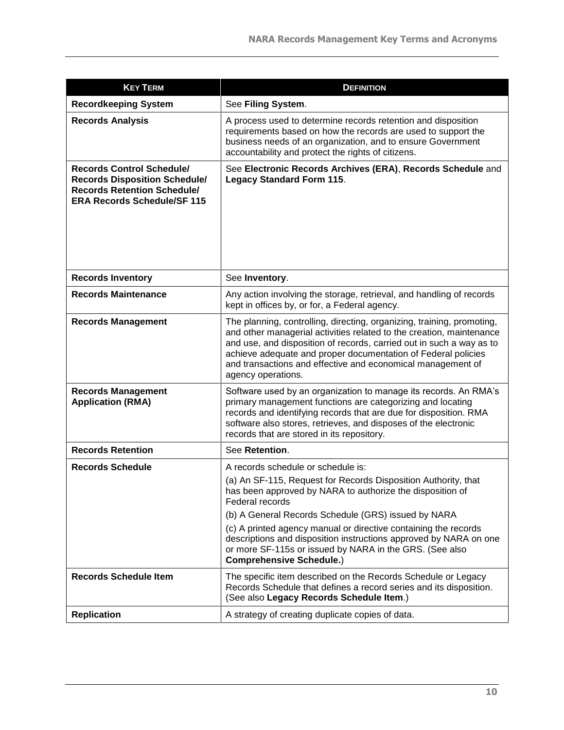| <b>KEY TERM</b>                                                                                                                                      | <b>DEFINITION</b>                                                                                                                                                                                                                                                                                                                                                            |
|------------------------------------------------------------------------------------------------------------------------------------------------------|------------------------------------------------------------------------------------------------------------------------------------------------------------------------------------------------------------------------------------------------------------------------------------------------------------------------------------------------------------------------------|
| <b>Recordkeeping System</b>                                                                                                                          | See Filing System.                                                                                                                                                                                                                                                                                                                                                           |
| <b>Records Analysis</b>                                                                                                                              | A process used to determine records retention and disposition<br>requirements based on how the records are used to support the<br>business needs of an organization, and to ensure Government<br>accountability and protect the rights of citizens.                                                                                                                          |
| <b>Records Control Schedule/</b><br><b>Records Disposition Schedule/</b><br><b>Records Retention Schedule/</b><br><b>ERA Records Schedule/SF 115</b> | See Electronic Records Archives (ERA), Records Schedule and<br><b>Legacy Standard Form 115.</b>                                                                                                                                                                                                                                                                              |
| <b>Records Inventory</b>                                                                                                                             | See Inventory.                                                                                                                                                                                                                                                                                                                                                               |
| <b>Records Maintenance</b>                                                                                                                           | Any action involving the storage, retrieval, and handling of records<br>kept in offices by, or for, a Federal agency.                                                                                                                                                                                                                                                        |
| <b>Records Management</b>                                                                                                                            | The planning, controlling, directing, organizing, training, promoting,<br>and other managerial activities related to the creation, maintenance<br>and use, and disposition of records, carried out in such a way as to<br>achieve adequate and proper documentation of Federal policies<br>and transactions and effective and economical management of<br>agency operations. |
| <b>Records Management</b><br><b>Application (RMA)</b>                                                                                                | Software used by an organization to manage its records. An RMA's<br>primary management functions are categorizing and locating<br>records and identifying records that are due for disposition. RMA<br>software also stores, retrieves, and disposes of the electronic<br>records that are stored in its repository.                                                         |
| <b>Records Retention</b>                                                                                                                             | See Retention.                                                                                                                                                                                                                                                                                                                                                               |
| <b>Records Schedule</b>                                                                                                                              | A records schedule or schedule is:<br>(a) An SF-115, Request for Records Disposition Authority, that                                                                                                                                                                                                                                                                         |
|                                                                                                                                                      | has been approved by NARA to authorize the disposition of<br>Federal records                                                                                                                                                                                                                                                                                                 |
|                                                                                                                                                      | (b) A General Records Schedule (GRS) issued by NARA                                                                                                                                                                                                                                                                                                                          |
|                                                                                                                                                      | (c) A printed agency manual or directive containing the records<br>descriptions and disposition instructions approved by NARA on one<br>or more SF-115s or issued by NARA in the GRS. (See also<br><b>Comprehensive Schedule.)</b>                                                                                                                                           |
| <b>Records Schedule Item</b>                                                                                                                         | The specific item described on the Records Schedule or Legacy<br>Records Schedule that defines a record series and its disposition.<br>(See also Legacy Records Schedule Item.)                                                                                                                                                                                              |
| <b>Replication</b>                                                                                                                                   | A strategy of creating duplicate copies of data.                                                                                                                                                                                                                                                                                                                             |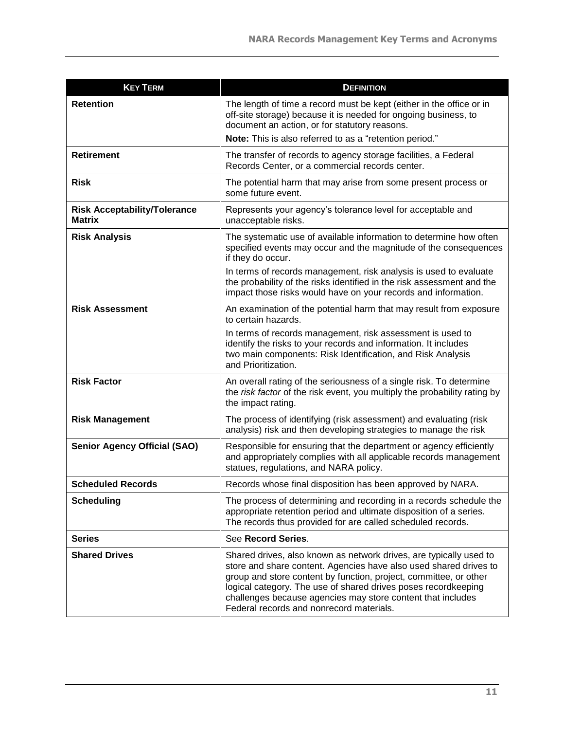| <b>KEY TERM</b>                                      | <b>DEFINITION</b>                                                                                                                                                                                                                                                                                                                                                                         |
|------------------------------------------------------|-------------------------------------------------------------------------------------------------------------------------------------------------------------------------------------------------------------------------------------------------------------------------------------------------------------------------------------------------------------------------------------------|
| <b>Retention</b>                                     | The length of time a record must be kept (either in the office or in<br>off-site storage) because it is needed for ongoing business, to<br>document an action, or for statutory reasons.<br>Note: This is also referred to as a "retention period."                                                                                                                                       |
| <b>Retirement</b>                                    | The transfer of records to agency storage facilities, a Federal<br>Records Center, or a commercial records center.                                                                                                                                                                                                                                                                        |
| <b>Risk</b>                                          | The potential harm that may arise from some present process or<br>some future event.                                                                                                                                                                                                                                                                                                      |
| <b>Risk Acceptability/Tolerance</b><br><b>Matrix</b> | Represents your agency's tolerance level for acceptable and<br>unacceptable risks.                                                                                                                                                                                                                                                                                                        |
| <b>Risk Analysis</b>                                 | The systematic use of available information to determine how often<br>specified events may occur and the magnitude of the consequences<br>if they do occur.<br>In terms of records management, risk analysis is used to evaluate<br>the probability of the risks identified in the risk assessment and the                                                                                |
| <b>Risk Assessment</b>                               | impact those risks would have on your records and information.<br>An examination of the potential harm that may result from exposure<br>to certain hazards.<br>In terms of records management, risk assessment is used to<br>identify the risks to your records and information. It includes<br>two main components: Risk Identification, and Risk Analysis<br>and Prioritization.        |
| <b>Risk Factor</b>                                   | An overall rating of the seriousness of a single risk. To determine<br>the risk factor of the risk event, you multiply the probability rating by<br>the impact rating.                                                                                                                                                                                                                    |
| <b>Risk Management</b>                               | The process of identifying (risk assessment) and evaluating (risk<br>analysis) risk and then developing strategies to manage the risk                                                                                                                                                                                                                                                     |
| <b>Senior Agency Official (SAO)</b>                  | Responsible for ensuring that the department or agency efficiently<br>and appropriately complies with all applicable records management<br>statues, regulations, and NARA policy.                                                                                                                                                                                                         |
| <b>Scheduled Records</b>                             | Records whose final disposition has been approved by NARA.                                                                                                                                                                                                                                                                                                                                |
| <b>Scheduling</b>                                    | The process of determining and recording in a records schedule the<br>appropriate retention period and ultimate disposition of a series.<br>The records thus provided for are called scheduled records.                                                                                                                                                                                   |
| <b>Series</b>                                        | See Record Series.                                                                                                                                                                                                                                                                                                                                                                        |
| <b>Shared Drives</b>                                 | Shared drives, also known as network drives, are typically used to<br>store and share content. Agencies have also used shared drives to<br>group and store content by function, project, committee, or other<br>logical category. The use of shared drives poses recordkeeping<br>challenges because agencies may store content that includes<br>Federal records and nonrecord materials. |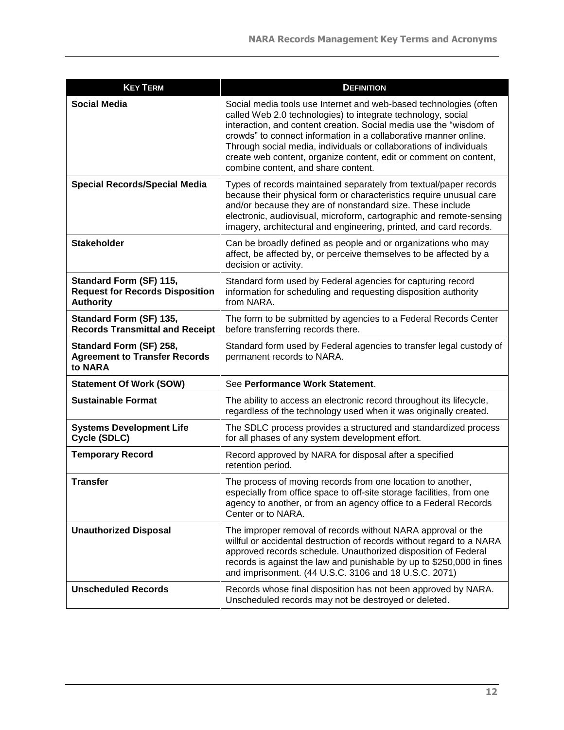| <b>KEY TERM</b>                                                                       | <b>DEFINITION</b>                                                                                                                                                                                                                                                                                                                                                                                                                                             |
|---------------------------------------------------------------------------------------|---------------------------------------------------------------------------------------------------------------------------------------------------------------------------------------------------------------------------------------------------------------------------------------------------------------------------------------------------------------------------------------------------------------------------------------------------------------|
| <b>Social Media</b>                                                                   | Social media tools use Internet and web-based technologies (often<br>called Web 2.0 technologies) to integrate technology, social<br>interaction, and content creation. Social media use the "wisdom of<br>crowds" to connect information in a collaborative manner online.<br>Through social media, individuals or collaborations of individuals<br>create web content, organize content, edit or comment on content,<br>combine content, and share content. |
| <b>Special Records/Special Media</b>                                                  | Types of records maintained separately from textual/paper records<br>because their physical form or characteristics require unusual care<br>and/or because they are of nonstandard size. These include<br>electronic, audiovisual, microform, cartographic and remote-sensing<br>imagery, architectural and engineering, printed, and card records.                                                                                                           |
| <b>Stakeholder</b>                                                                    | Can be broadly defined as people and or organizations who may<br>affect, be affected by, or perceive themselves to be affected by a<br>decision or activity.                                                                                                                                                                                                                                                                                                  |
| Standard Form (SF) 115,<br><b>Request for Records Disposition</b><br><b>Authority</b> | Standard form used by Federal agencies for capturing record<br>information for scheduling and requesting disposition authority<br>from NARA.                                                                                                                                                                                                                                                                                                                  |
| Standard Form (SF) 135,<br><b>Records Transmittal and Receipt</b>                     | The form to be submitted by agencies to a Federal Records Center<br>before transferring records there.                                                                                                                                                                                                                                                                                                                                                        |
| Standard Form (SF) 258,<br><b>Agreement to Transfer Records</b><br>to NARA            | Standard form used by Federal agencies to transfer legal custody of<br>permanent records to NARA.                                                                                                                                                                                                                                                                                                                                                             |
| <b>Statement Of Work (SOW)</b>                                                        | See Performance Work Statement.                                                                                                                                                                                                                                                                                                                                                                                                                               |
| <b>Sustainable Format</b>                                                             | The ability to access an electronic record throughout its lifecycle,<br>regardless of the technology used when it was originally created.                                                                                                                                                                                                                                                                                                                     |
| <b>Systems Development Life</b><br>Cycle (SDLC)                                       | The SDLC process provides a structured and standardized process<br>for all phases of any system development effort.                                                                                                                                                                                                                                                                                                                                           |
| <b>Temporary Record</b>                                                               | Record approved by NARA for disposal after a specified<br>retention period.                                                                                                                                                                                                                                                                                                                                                                                   |
| <b>Transfer</b>                                                                       | The process of moving records from one location to another,<br>especially from office space to off-site storage facilities, from one<br>agency to another, or from an agency office to a Federal Records<br>Center or to NARA.                                                                                                                                                                                                                                |
| <b>Unauthorized Disposal</b>                                                          | The improper removal of records without NARA approval or the<br>willful or accidental destruction of records without regard to a NARA<br>approved records schedule. Unauthorized disposition of Federal<br>records is against the law and punishable by up to \$250,000 in fines<br>and imprisonment. (44 U.S.C. 3106 and 18 U.S.C. 2071)                                                                                                                     |
| <b>Unscheduled Records</b>                                                            | Records whose final disposition has not been approved by NARA.<br>Unscheduled records may not be destroyed or deleted.                                                                                                                                                                                                                                                                                                                                        |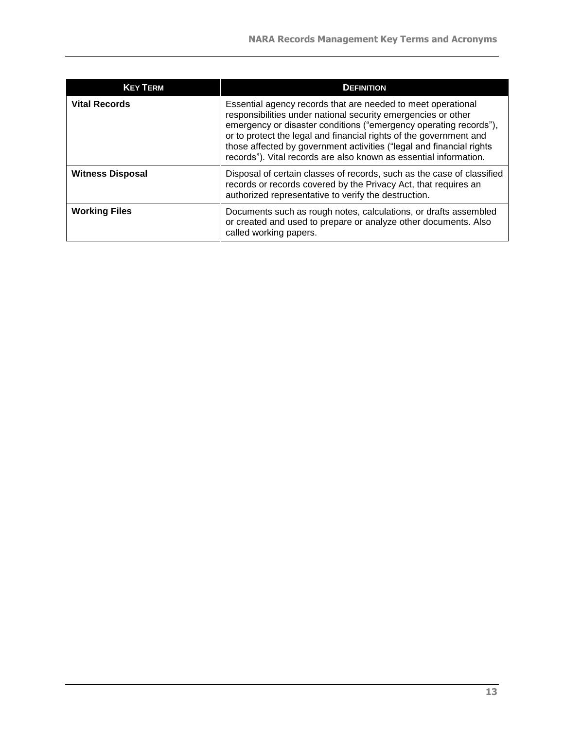| <b>KEY TERM</b>         | <b>DEFINITION</b>                                                                                                                                                                                                                                                                                                                                                                                                     |
|-------------------------|-----------------------------------------------------------------------------------------------------------------------------------------------------------------------------------------------------------------------------------------------------------------------------------------------------------------------------------------------------------------------------------------------------------------------|
| <b>Vital Records</b>    | Essential agency records that are needed to meet operational<br>responsibilities under national security emergencies or other<br>emergency or disaster conditions ("emergency operating records"),<br>or to protect the legal and financial rights of the government and<br>those affected by government activities ("legal and financial rights<br>records"). Vital records are also known as essential information. |
| <b>Witness Disposal</b> | Disposal of certain classes of records, such as the case of classified<br>records or records covered by the Privacy Act, that requires an<br>authorized representative to verify the destruction.                                                                                                                                                                                                                     |
| <b>Working Files</b>    | Documents such as rough notes, calculations, or drafts assembled<br>or created and used to prepare or analyze other documents. Also<br>called working papers.                                                                                                                                                                                                                                                         |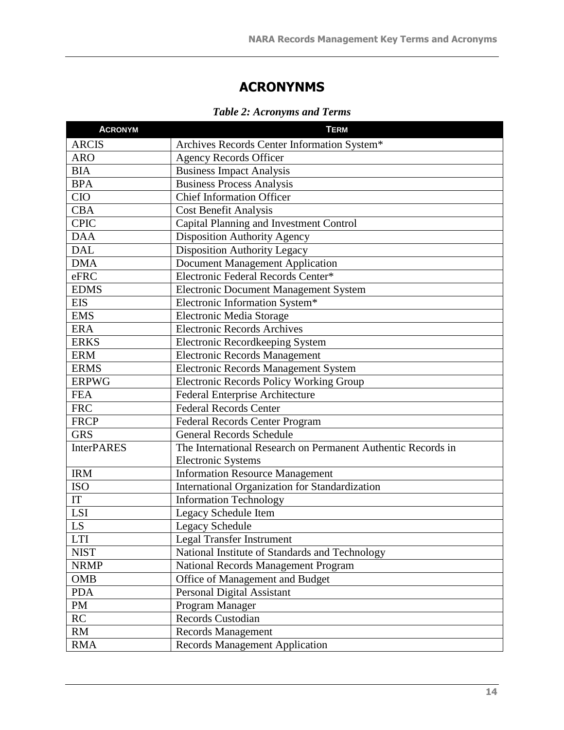## **ACRONYNMS**

|  |  | <b>Table 2: Acronyms and Terms</b> |  |  |
|--|--|------------------------------------|--|--|
|--|--|------------------------------------|--|--|

| <b>ACRONYM</b>    | <b>TERM</b>                                                  |
|-------------------|--------------------------------------------------------------|
| <b>ARCIS</b>      | Archives Records Center Information System*                  |
| <b>ARO</b>        | <b>Agency Records Officer</b>                                |
| <b>BIA</b>        | <b>Business Impact Analysis</b>                              |
| <b>BPA</b>        | <b>Business Process Analysis</b>                             |
| <b>CIO</b>        | <b>Chief Information Officer</b>                             |
| <b>CBA</b>        | <b>Cost Benefit Analysis</b>                                 |
| <b>CPIC</b>       | Capital Planning and Investment Control                      |
| <b>DAA</b>        | <b>Disposition Authority Agency</b>                          |
| <b>DAL</b>        | <b>Disposition Authority Legacy</b>                          |
| <b>DMA</b>        | <b>Document Management Application</b>                       |
| eFRC              | Electronic Federal Records Center*                           |
| <b>EDMS</b>       | <b>Electronic Document Management System</b>                 |
| <b>EIS</b>        | Electronic Information System*                               |
| <b>EMS</b>        | Electronic Media Storage                                     |
| <b>ERA</b>        | <b>Electronic Records Archives</b>                           |
| <b>ERKS</b>       | Electronic Recordkeeping System                              |
| <b>ERM</b>        | <b>Electronic Records Management</b>                         |
| <b>ERMS</b>       | <b>Electronic Records Management System</b>                  |
| <b>ERPWG</b>      | <b>Electronic Records Policy Working Group</b>               |
| <b>FEA</b>        | <b>Federal Enterprise Architecture</b>                       |
| <b>FRC</b>        | <b>Federal Records Center</b>                                |
| <b>FRCP</b>       | <b>Federal Records Center Program</b>                        |
| $GR\overline{S}$  | <b>General Records Schedule</b>                              |
| <b>InterPARES</b> | The International Research on Permanent Authentic Records in |
|                   | <b>Electronic Systems</b>                                    |
| <b>IRM</b>        | <b>Information Resource Management</b>                       |
| <b>ISO</b>        | International Organization for Standardization               |
| IT                | <b>Information Technology</b>                                |
| LSI               | Legacy Schedule Item                                         |
| LS                | Legacy Schedule                                              |
| <b>LTI</b>        | <b>Legal Transfer Instrument</b>                             |
| <b>NIST</b>       | National Institute of Standards and Technology               |
| <b>NRMP</b>       | <b>National Records Management Program</b>                   |
| <b>OMB</b>        | Office of Management and Budget                              |
| <b>PDA</b>        | Personal Digital Assistant                                   |
| PM                | Program Manager                                              |
| RC                | Records Custodian                                            |
| <b>RM</b>         | <b>Records Management</b>                                    |
| <b>RMA</b>        | <b>Records Management Application</b>                        |